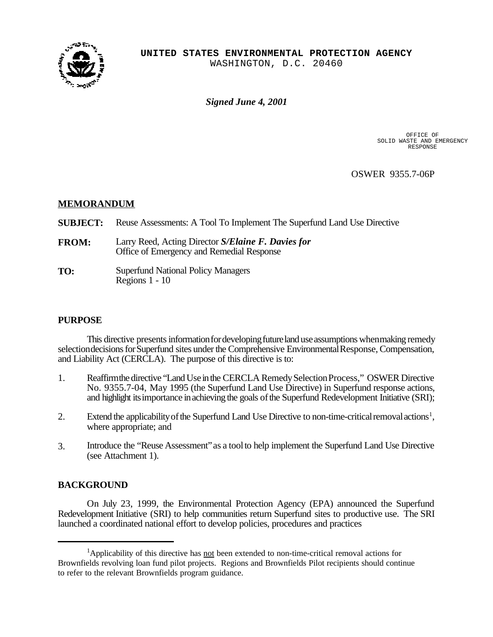

*Signed June 4, 2001*

OFFICE OF<br>SOLID WASTE AND EMERGENCY RESPONSE

OSWER 9355.7-06P

# **MEMORANDUM**

- **SUBJECT:** Reuse Assessments: A Tool To Implement The Superfund Land Use Directive
- **FROM:** Larry Reed, Acting Director *S/Elaine F. Davies for* Office of Emergency and Remedial Response
- **TO:** Superfund National Policy Managers Regions 1 - 10

# **PURPOSE**

This directive presents information for developing future land use assumptions when making remedy selection decisions for Superfund sites under the Comprehensive Environmental Response, Compensation, and Liability Act (CERCLA). The purpose of this directive is to:

- 1. Reaffirm the directive "Land Use in the CERCLA Remedy Selection Process," OSWER Directive No. 9355.7-04, May 1995 (the Superfund Land Use Directive) in Superfund response actions, and highlight its importance in achieving the goals of the Superfund Redevelopment Initiative (SRI);
- 2. Extend the applicability of the Superfund Land Use Directive to non-time-critical removal actions<sup>1</sup>, where appropriate; and
- 3. Introduce the "Reuse Assessment"as a toolto help implement the Superfund Land Use Directive (see Attachment 1).

# **BACKGROUND**

On July 23, 1999, the Environmental Protection Agency (EPA) announced the Superfund Redevelopment Initiative (SRI) to help communities return Superfund sites to productive use. The SRI launched a coordinated national effort to develop policies, procedures and practices

<sup>&</sup>lt;sup>1</sup>Applicability of this directive has not been extended to non-time-critical removal actions for Brownfields revolving loan fund pilot projects. Regions and Brownfields Pilot recipients should continue to refer to the relevant Brownfields program guidance.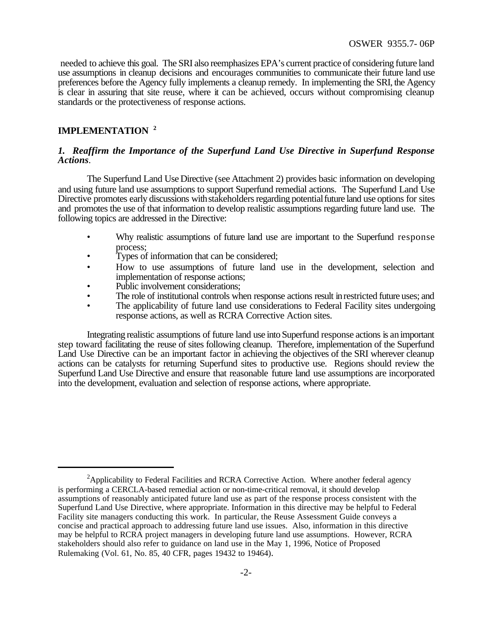needed to achieve this goal. The SRI also reemphasizes EPA's current practice of considering future land use assumptions in cleanup decisions and encourages communities to communicate their future land use preferences before the Agency fully implements a cleanup remedy. In implementing the SRI, the Agency is clear in assuring that site reuse, where it can be achieved, occurs without compromising cleanup standards or the protectiveness of response actions.

# **IMPLEMENTATION <sup>2</sup>**

### *1. Reaffirm the Importance of the Superfund Land Use Directive in Superfund Response Actions.*

The Superfund Land Use Directive (see Attachment 2) provides basic information on developing and using future land use assumptions to support Superfund remedial actions. The Superfund Land Use Directive promotes early discussions with stakeholders regarding potential future land use options for sites and promotes the use of that information to develop realistic assumptions regarding future land use. The following topics are addressed in the Directive:

- Why realistic assumptions of future land use are important to the Superfund response process;
- Types of information that can be considered;
- How to use assumptions of future land use in the development, selection and implementation of response actions;
- Public involvement considerations:
- The role of institutional controls when response actions result in restricted future uses; and
- The applicability of future land use considerations to Federal Facility sites undergoing response actions, as well as RCRA Corrective Action sites.

Integrating realistic assumptions of future land use into Superfund response actions is animportant step toward facilitating the reuse of sites following cleanup. Therefore, implementation of the Superfund Land Use Directive can be an important factor in achieving the objectives of the SRI wherever cleanup actions can be catalysts for returning Superfund sites to productive use. Regions should review the Superfund Land Use Directive and ensure that reasonable future land use assumptions are incorporated into the development, evaluation and selection of response actions, where appropriate.

<sup>&</sup>lt;sup>2</sup>Applicability to Federal Facilities and RCRA Corrective Action. Where another federal agency is performing a CERCLA-based remedial action or non-time-critical removal, it should develop assumptions of reasonably anticipated future land use as part of the response process consistent with the Superfund Land Use Directive, where appropriate. Information in this directive may be helpful to Federal Facility site managers conducting this work. In particular, the Reuse Assessment Guide conveys a concise and practical approach to addressing future land use issues. Also, information in this directive may be helpful to RCRA project managers in developing future land use assumptions. However, RCRA stakeholders should also refer to guidance on land use in the May 1, 1996, Notice of Proposed Rulemaking (Vol. 61, No. 85, 40 CFR, pages 19432 to 19464).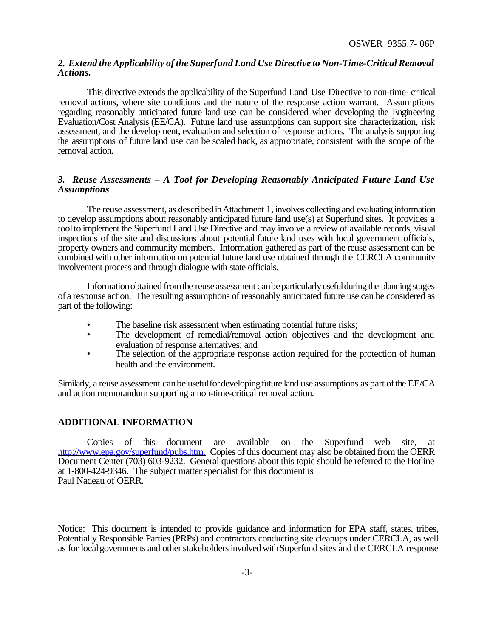# *2. Extend the Applicability of the Superfund Land Use Directive to Non-Time-Critical Removal Actions.*

This directive extends the applicability of the Superfund Land Use Directive to non-time- critical removal actions, where site conditions and the nature of the response action warrant. Assumptions regarding reasonably anticipated future land use can be considered when developing the Engineering Evaluation/Cost Analysis (EE/CA). Future land use assumptions can support site characterization, risk assessment, and the development, evaluation and selection of response actions. The analysis supporting the assumptions of future land use can be scaled back, as appropriate, consistent with the scope of the removal action.

# *3. Reuse Assessments – A Tool for Developing Reasonably Anticipated Future Land Use Assumptions.*

The reuse assessment, as described in Attachment 1, involves collecting and evaluating information to develop assumptions about reasonably anticipated future land use(s) at Superfund sites. It provides a toolto implement the Superfund Land Use Directive and may involve a review of available records, visual inspections of the site and discussions about potential future land uses with local government officials, property owners and community members. Information gathered as part of the reuse assessment can be combined with other information on potential future land use obtained through the CERCLA community involvement process and through dialogue with state officials.

Information obtained from the reuse assessment can be particularly useful during the planning stages of a response action. The resulting assumptions of reasonably anticipated future use can be considered as part of the following:

- The baseline risk assessment when estimating potential future risks;
- The development of remedial/removal action objectives and the development and evaluation of response alternatives; and
- The selection of the appropriate response action required for the protection of human health and the environment.

Similarly, a reuse assessment canbe usefulfordevelopingfuture land use assumptions as part ofthe EE/CA and action memorandum supporting a non-time-critical removal action.

# **ADDITIONAL INFORMATION**

Copies of this document are available on the Superfund web site, at http://www.epa.gov/superfund/pubs.htm. Copies of this document may also be obtained from the OERR Document Center (703) 603-9232. General questions about this topic should be referred to the Hotline at 1-800-424-9346. The subject matter specialist for this document is Paul Nadeau of OERR.

Notice: This document is intended to provide guidance and information for EPA staff, states, tribes, Potentially Responsible Parties (PRPs) and contractors conducting site cleanups under CERCLA, as well as for local governments and other stakeholders involved with Superfund sites and the CERCLA response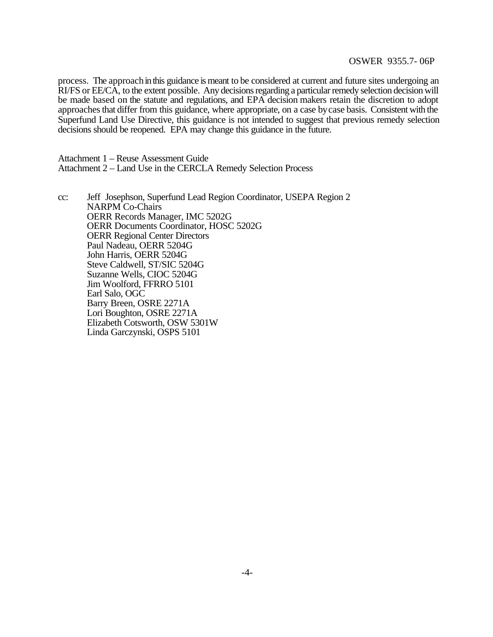### OSWER 9355.7- 06P

process. The approach in this guidance is meant to be considered at current and future sites undergoing an RI/FS or EE/CA, to the extent possible. Any decisions regarding a particular remedy selection decision will be made based on the statute and regulations, and EPA decision makers retain the discretion to adopt approaches that differ from this guidance, where appropriate, on a case by case basis. Consistent with the Superfund Land Use Directive, this guidance is not intended to suggest that previous remedy selection decisions should be reopened. EPA may change this guidance in the future.

Attachment 1 – Reuse Assessment Guide Attachment 2 – Land Use in the CERCLA Remedy Selection Process

cc: Jeff Josephson, Superfund Lead Region Coordinator, USEPA Region 2 NARPM Co-Chairs OERR Records Manager, IMC 5202G OERR Documents Coordinator, HOSC 5202G OERR Regional Center Directors Paul Nadeau, OERR 5204G John Harris, OERR 5204G Steve Caldwell, ST/SIC 5204G Suzanne Wells, CIOC 5204G Jim Woolford, FFRRO 5101 Earl Salo, OGC Barry Breen, OSRE 2271A Lori Boughton, OSRE 2271A Elizabeth Cotsworth, OSW 5301W Linda Garczynski, OSPS 5101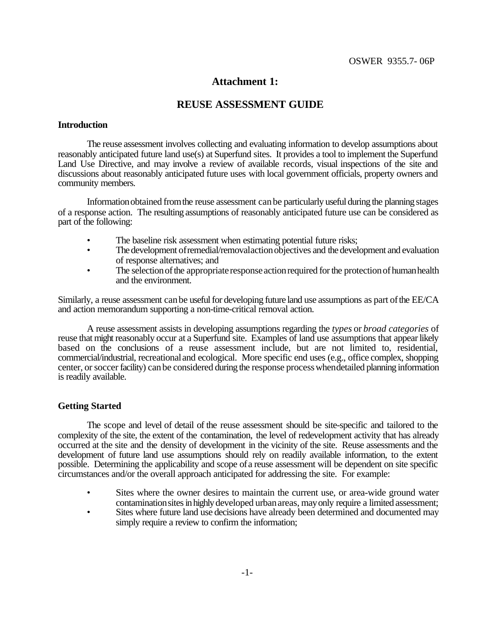# **Attachment 1:**

# **REUSE ASSESSMENT GUIDE**

### **Introduction**

The reuse assessment involves collecting and evaluating information to develop assumptions about reasonably anticipated future land use(s) at Superfund sites. It provides a tool to implement the Superfund Land Use Directive, and may involve a review of available records, visual inspections of the site and discussions about reasonably anticipated future uses with local government officials, property owners and community members.

Informationobtained fromthe reuse assessment canbe particularly useful during the planning stages of a response action. The resulting assumptions of reasonably anticipated future use can be considered as part of the following:

- The baseline risk assessment when estimating potential future risks;
- The development of remedial/removal action objectives and the development and evaluation of response alternatives; and
- The selection of the appropriate response action required for the protection of human health and the environment.

Similarly, a reuse assessment canbe usefulfor developing future land use assumptions as part ofthe EE/CA and action memorandum supporting a non-time-critical removal action.

A reuse assessment assists in developing assumptions regarding the *types* or *broad categories* of reuse that might reasonably occur at a Superfund site. Examples of land use assumptions that appear likely based on the conclusions of a reuse assessment include, but are not limited to, residential, commercial/industrial, recreationaland ecological. More specific end uses (e.g., office complex, shopping center, or soccer facility) can be considered during the response process whendetailed planning information is readily available.

# **Getting Started**

The scope and level of detail of the reuse assessment should be site-specific and tailored to the complexity of the site, the extent of the contamination, the level of redevelopment activity that has already occurred at the site and the density of development in the vicinity of the site. Reuse assessments and the development of future land use assumptions should rely on readily available information, to the extent possible. Determining the applicability and scope ofa reuse assessment will be dependent on site specific circumstances and/or the overall approach anticipated for addressing the site. For example:

- Sites where the owner desires to maintain the current use, or area-wide ground water contamination sites in highly developed urban areas, may only require a limited assessment;
- Sites where future land use decisions have already been determined and documented may simply require a review to confirm the information;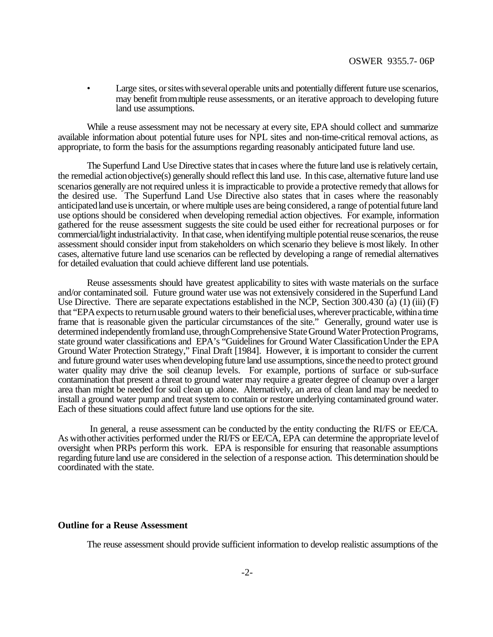Large sites, or sites with several operable units and potentially different future use scenarios, may benefit frommultiple reuse assessments, or an iterative approach to developing future land use assumptions.

While a reuse assessment may not be necessary at every site, EPA should collect and summarize available information about potential future uses for NPL sites and non-time-critical removal actions, as appropriate, to form the basis for the assumptions regarding reasonably anticipated future land use.

The Superfund Land Use Directive states that in cases where the future land use is relatively certain, the remedial action objective(s) generally should reflect this land use. In this case, alternative future land use scenarios generally are not required unless it is impracticable to provide a protective remedy that allows for the desired use. The Superfund Land Use Directive also states that in cases where the reasonably anticipated land use is uncertain, or where multiple uses are being considered, a range of potential future land use options should be considered when developing remedial action objectives. For example, information gathered for the reuse assessment suggests the site could be used either for recreational purposes or for commercial/light industrial activity. In that case, when identifying multiple potential reuse scenarios, the reuse assessment should consider input from stakeholders on which scenario they believe is most likely. In other cases, alternative future land use scenarios can be reflected by developing a range of remedial alternatives for detailed evaluation that could achieve different land use potentials.

Reuse assessments should have greatest applicability to sites with waste materials on the surface and/or contaminated soil. Future ground water use was not extensively considered in the Superfund Land Use Directive. There are separate expectations established in the NCP, Section 300.430 (a) (1) (iii) (F) that "EPA expects to return usable ground waters to their beneficial uses, wherever practicable, within a time frame that is reasonable given the particular circumstances of the site." Generally, ground water use is determined independently from land use, through Comprehensive State Ground Water Protection Programs, state ground water classifications and EPA's "Guidelines for Ground Water Classification Under the EPA Ground Water Protection Strategy," Final Draft [1984]. However, it is important to consider the current and future ground water uses when developing future land use assumptions, since the need to protect ground water quality may drive the soil cleanup levels. For example, portions of surface or sub-surface contamination that present a threat to ground water may require a greater degree of cleanup over a larger area than might be needed for soil clean up alone. Alternatively, an area of clean land may be needed to install a ground water pump and treat system to contain or restore underlying contaminated ground water. Each of these situations could affect future land use options for the site.

In general, a reuse assessment can be conducted by the entity conducting the RI/FS or EE/CA. As withother activities performed under the RI/FS or EE/CA, EPA can determine the appropriate levelof oversight when PRPs perform this work. EPA is responsible for ensuring that reasonable assumptions regarding future land use are considered in the selection of a response action. This determination should be coordinated with the state.

### **Outline for a Reuse Assessment**

The reuse assessment should provide sufficient information to develop realistic assumptions of the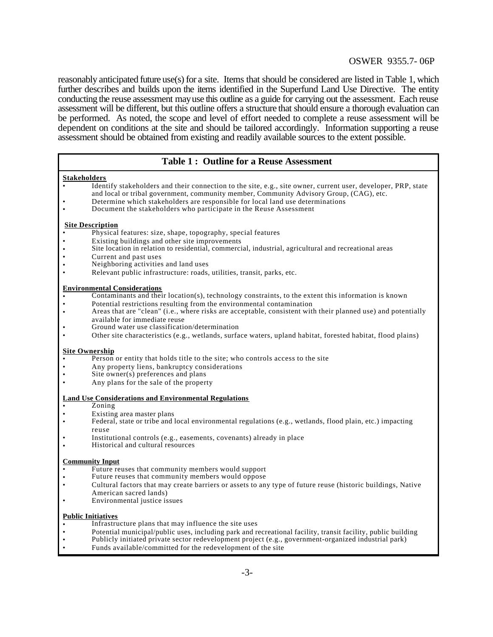# OSWER 9355.7- 06P

reasonably anticipated future use(s) for a site. Items that should be considered are listed in Table 1, which further describes and builds upon the items identified in the Superfund Land Use Directive. The entity conducting the reuse assessment mayuse this outline as a guide for carrying out the assessment. Each reuse assessment will be different, but this outline offers a structure that should ensure a thorough evaluation can be performed. As noted, the scope and level of effort needed to complete a reuse assessment will be dependent on conditions at the site and should be tailored accordingly. Information supporting a reuse assessment should be obtained from existing and readily available sources to the extent possible.

# **Table 1 : Outline for a Reuse Assessment**

#### **Stakeholders**

- Identify stakeholders and their connection to the site, e.g., site owner, current user, developer, PRP, state and local or tribal government, community member, Community Advisory Group, (CAG), etc.
- Determine which stakeholders are responsible for local land use determinations
- Document the stakeholders who participate in the Reuse Assessment

#### **Site Description**

- Physical features: size, shape, topography, special features
- Existing buildings and other site improvements
- Site location in relation to residential, commercial, industrial, agricultural and recreational areas
- Current and past uses
- Neighboring activities and land uses
- Relevant public infrastructure: roads, utilities, transit, parks, etc.

#### **Environmental Considerations**

- Contaminants and their location(s), technology constraints, to the extent this information is known
- Potential restrictions resulting from the environmental contamination
- Areas that are "clean" (i.e., where risks are acceptable, consistent with their planned use) and potentially available for immediate reuse
- Ground water use classification/determination
- Other site characteristics (e.g., wetlands, surface waters, upland habitat, forested habitat, flood plains)

#### **Site Ownership**

- Person or entity that holds title to the site; who controls access to the site
- Any property liens, bankruptcy considerations
- Site owner(s) preferences and plans
- Any plans for the sale of the property

#### **Land Use Considerations and Environmental Regulations**

- Zoning
- Existing area master plans
- Federal, state or tribe and local environmental regulations (e.g., wetlands, flood plain, etc.) impacting reuse
- Institutional controls (e.g., easements, covenants) already in place
- Historical and cultural resources

#### **Community Input**

- Future reuses that community members would support
- Future reuses that community members would oppose
- Cultural factors that may create barriers or assets to any type of future reuse (historic buildings, Native American sacred lands)
- Environmental justice issues

# **Public Initiatives**

- Infrastructure plans that may influence the site uses
- Potential municipal/public uses, including park and recreational facility, transit facility, public building
- Publicly initiated private sector redevelopment project (e.g., government-organized industrial park)
- Funds available/committed for the redevelopment of the site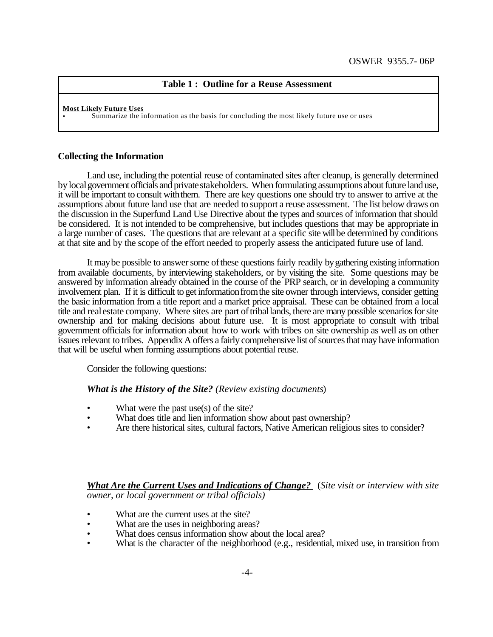# **Table 1 : Outline for a Reuse Assessment**

#### **Most Likely Future Uses**

• Summarize the information as the basis for concluding the most likely future use or uses

### **Collecting the Information**

Land use, including the potential reuse of contaminated sites after cleanup, is generally determined by local government officials and private stakeholders. When formulating assumptions about future land use, it will be important to consult withthem. There are key questions one should try to answer to arrive at the assumptions about future land use that are needed to support a reuse assessment. The list below draws on the discussion in the Superfund Land Use Directive about the types and sources of information that should be considered. It is not intended to be comprehensive, but includes questions that may be appropriate in a large number of cases. The questions that are relevant at a specific site willbe determined by conditions at that site and by the scope of the effort needed to properly assess the anticipated future use of land.

It may be possible to answer some of these questions fairly readily by gathering existing information from available documents, by interviewing stakeholders, or by visiting the site. Some questions may be answered by information already obtained in the course of the PRP search, or in developing a community involvement plan. If it is difficult to get information from the site owner through interviews, consider getting the basic information from a title report and a market price appraisal. These can be obtained from a local title and real estate company. Where sites are part of triballands, there are many possible scenarios for site ownership and for making decisions about future use. It is most appropriate to consult with tribal government officials for information about how to work with tribes on site ownership as well as on other issues relevant to tribes. Appendix A offers a fairly comprehensive list of sources that may have information that will be useful when forming assumptions about potential reuse.

Consider the following questions:

### *What is the History of the Site? (Review existing documents*)

- What were the past use $(s)$  of the site?
- What does title and lien information show about past ownership?
- Are there historical sites, cultural factors, Native American religious sites to consider?

*What Are the Current Uses and Indications of Change?* (*Site visit or interview with site owner, or local government or tribal officials)*

- What are the current uses at the site?
- What are the uses in neighboring areas?
- What does census information show about the local area?
- What is the character of the neighborhood (e.g., residential, mixed use, in transition from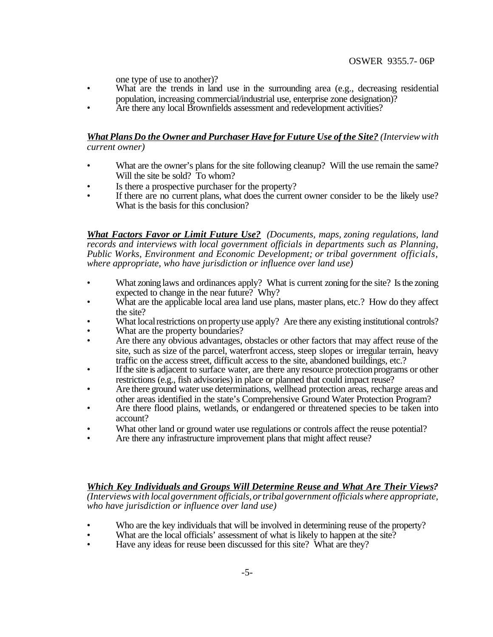one type of use to another)?

- What are the trends in land use in the surrounding area (e.g., decreasing residential population, increasing commercial/industrial use, enterprise zone designation)?
- Are there any local Brownfields assessment and redevelopment activities?

# *What PlansDo the Owner and Purchaser Have for Future Use of the Site? (Interviewwith current owner)*

- What are the owner's plans for the site following cleanup? Will the use remain the same? Will the site be sold? To whom?
- Is there a prospective purchaser for the property?
- If there are no current plans, what does the current owner consider to be the likely use? What is the basis for this conclusion?

*What Factors Favor or Limit Future Use? (Documents, maps, zoning regulations, land records and interviews with local government officials in departments such as Planning, Public Works, Environment and Economic Development; or tribal government officials, where appropriate, who have jurisdiction or influence over land use)*

- What zoning laws and ordinances apply? What is current zoning for the site? Is the zoning expected to change in the near future? Why?
- What are the applicable local area land use plans, master plans, etc.? How do they affect the site?
- What local restrictions on property use apply? Are there any existing institutional controls?
- What are the property boundaries?
- Are there any obvious advantages, obstacles or other factors that may affect reuse of the site, such as size of the parcel, waterfront access, steep slopes or irregular terrain, heavy traffic on the access street, difficult access to the site, abandoned buildings, etc.?
- If the site is adjacent to surface water, are there any resource protection programs or other restrictions (e.g., fish advisories) in place or planned that could impact reuse?
- Are there ground water use determinations, wellhead protection areas, recharge areas and other areas identified in the state's Comprehensive Ground Water Protection Program?
- Are there flood plains, wetlands, or endangered or threatened species to be taken into account?
- What other land or ground water use regulations or controls affect the reuse potential?
- Are there any infrastructure improvement plans that might affect reuse?

*Which Key Individuals and Groups Will Determine Reuse and What Are Their Views? (Interviewswith localgovernment officials,ortribalgovernment officialswhere appropriate, who have jurisdiction or influence over land use)*

- Who are the key individuals that will be involved in determining reuse of the property?
- What are the local officials' assessment of what is likely to happen at the site?
- Have any ideas for reuse been discussed for this site? What are they?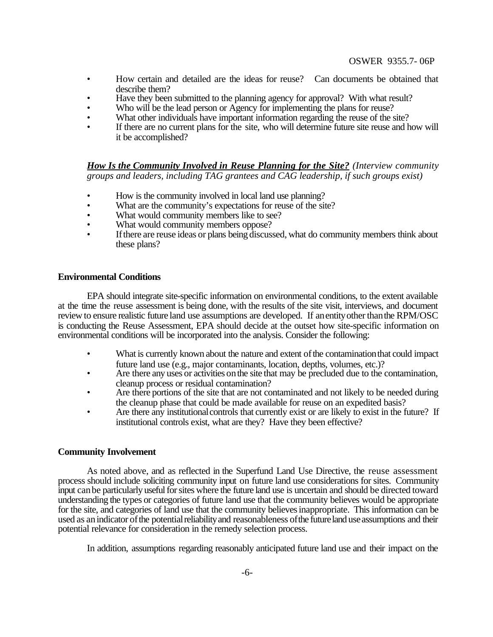- How certain and detailed are the ideas for reuse? Can documents be obtained that describe them?
- Have they been submitted to the planning agency for approval? With what result?
- Who will be the lead person or Agency for implementing the plans for reuse?
- What other individuals have important information regarding the reuse of the site?
- If there are no current plans for the site, who will determine future site reuse and how will it be accomplished?

*How Is the Community Involved in Reuse Planning for the Site? (Interview community groups and leaders, including TAG grantees and CAG leadership, if such groups exist)*

- How is the community involved in local land use planning?
- What are the community's expectations for reuse of the site?
- What would community members like to see?
- What would community members oppose?
- If there are reuse ideas or plans being discussed, what do community members think about these plans?

### **Environmental Conditions**

EPA should integrate site-specific information on environmental conditions, to the extent available at the time the reuse assessment is being done, with the results of the site visit, interviews, and document review to ensure realistic future land use assumptions are developed. If an entity other than the RPM/OSC is conducting the Reuse Assessment, EPA should decide at the outset how site-specific information on environmental conditions will be incorporated into the analysis. Consider the following:

- What is currently known about the nature and extent of the contamination that could impact future land use (e.g., major contaminants, location, depths, volumes, etc.)?
- Are there any uses or activities on the site that may be precluded due to the contamination, cleanup process or residual contamination?
- Are there portions of the site that are not contaminated and not likely to be needed during the cleanup phase that could be made available for reuse on an expedited basis?
- Are there any institutional controls that currently exist or are likely to exist in the future? If institutional controls exist, what are they? Have they been effective?

# **Community Involvement**

As noted above, and as reflected in the Superfund Land Use Directive, the reuse assessment process should include soliciting community input on future land use considerations for sites. Community input can be particularly useful for sites where the future land use is uncertain and should be directed toward understanding the types or categories of future land use that the community believes would be appropriate for the site, and categories of land use that the community believes inappropriate. This information can be used as an indicator of the potential reliability and reasonableness of the future land use assumptions and their potential relevance for consideration in the remedy selection process.

In addition, assumptions regarding reasonably anticipated future land use and their impact on the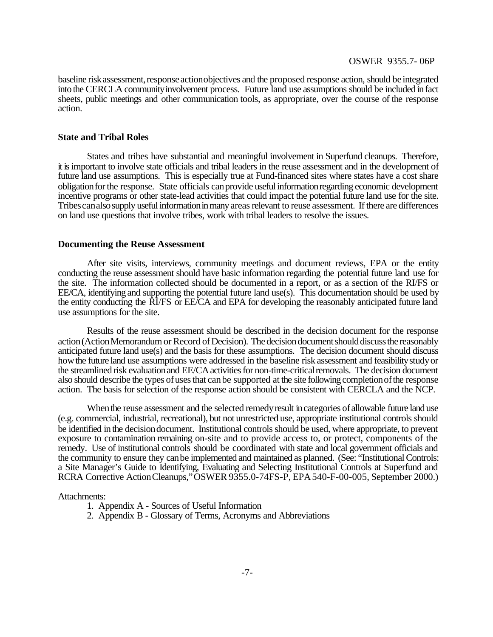baseline risk assessment, response actionobjectives and the proposed response action, should be integrated into the CERCLA communityinvolvement process. Future land use assumptions should be included infact sheets, public meetings and other communication tools, as appropriate, over the course of the response action.

### **State and Tribal Roles**

States and tribes have substantial and meaningful involvement in Superfund cleanups. Therefore, it isimportant to involve state officials and tribal leaders in the reuse assessment and in the development of future land use assumptions. This is especially true at Fund-financed sites where states have a cost share obligationforthe response. State officials canprovide usefulinformationregarding economic development incentive programs or other state-lead activities that could impact the potential future land use for the site. Tribes can also supply useful information in many areas relevant to reuse assessment. If there are differences on land use questions that involve tribes, work with tribal leaders to resolve the issues.

#### **Documenting the Reuse Assessment**

After site visits, interviews, community meetings and document reviews, EPA or the entity conducting the reuse assessment should have basic information regarding the potential future land use for the site. The information collected should be documented in a report, or as a section of the RI/FS or EE/CA, identifying and supporting the potential future land use(s). This documentation should be used by the entity conducting the RI/FS or EE/CA and EPA for developing the reasonably anticipated future land use assumptions for the site.

Results of the reuse assessment should be described in the decision document for the response action (Action Memorandum or Record of Decision). The decision document should discuss the reasonably anticipated future land use(s) and the basis for these assumptions. The decision document should discuss how the future land use assumptions were addressed in the baseline risk assessment and feasibility study or the streamlined risk evaluation and EE/CA activities for non-time-critical removals. The decision document also should describe the types ofusesthat canbe supported at the site following completionofthe response action. The basis for selection of the response action should be consistent with CERCLA and the NCP.

When the reuse assessment and the selected remedy result in categories of allowable future land use (e.g. commercial, industrial, recreational), but not unrestricted use, appropriate institutional controls should be identified in the decisiondocument. Institutional controls should be used, where appropriate, to prevent exposure to contamination remaining on-site and to provide access to, or protect, components of the remedy. Use of institutional controls should be coordinated with state and local government officials and the community to ensure they canbe implemented and maintained as planned. (See: "Institutional Controls: a Site Manager's Guide to Identifying, Evaluating and Selecting Institutional Controls at Superfund and RCRA Corrective ActionCleanups,"OSWER 9355.0-74FS-P, EPA540-F-00-005, September 2000.)

#### Attachments:

- 1. Appendix A Sources of Useful Information
- 2. Appendix B Glossary of Terms, Acronyms and Abbreviations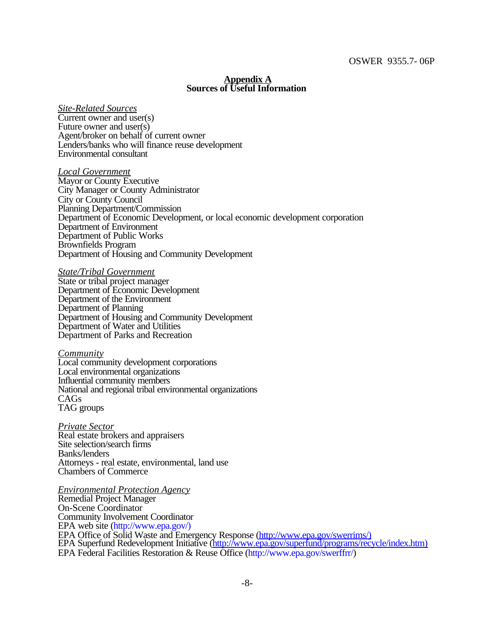### **Appendix A Sources of Useful Information**

*Site-Related Sources* Current owner and user(s) Future owner and user(s) Agent/broker on behalf of current owner Lenders/banks who will finance reuse development Environmental consultant

*Local Government* Mayor or County Executive City Manager or County Administrator City or County Council Planning Department/Commission Department of Economic Development, or local economic development corporation Department of Environment Department of Public Works Brownfields Program Department of Housing and Community Development

*State/Tribal Government* State or tribal project manager Department of Economic Development Department of the Environment Department of Planning Department of Housing and Community Development Department of Water and Utilities Department of Parks and Recreation

*Community* Local community development corporations Local environmental organizations Influential community members National and regional tribal environmental organizations CAGs TAG groups

*Private Sector* Real estate brokers and appraisers Site selection/search firms Banks/lenders Attorneys - real estate, environmental, land use Chambers of Commerce

*Environmental Protection Agency* Remedial Project Manager On-Scene Coordinator Community Involvement Coordinator EPA web site (http://www.epa.gov/) EPA Office of Solid Waste and Emergency Response (http://www.epa.gov/swerrims/) EPA Superfund Redevelopment Initiative (http://www.epa.gov/superfund/programs/recycle/index.htm) EPA Federal Facilities Restoration & Reuse Office (http://www.epa.gov/swerffrr/)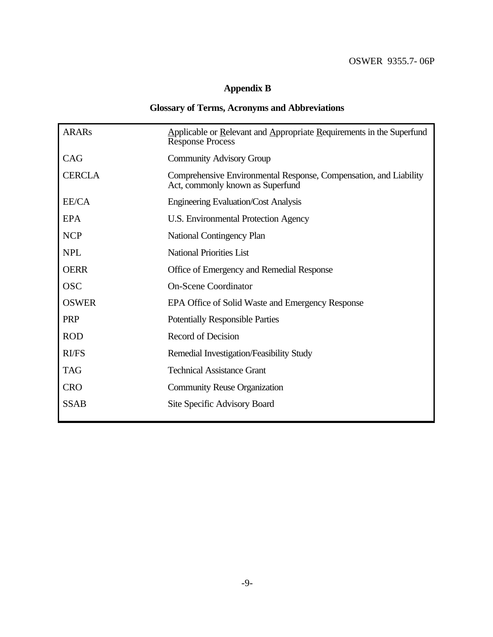# **Appendix B**

# **Glossary of Terms, Acronyms and Abbreviations**

| <b>ARARs</b>  | Applicable or Relevant and Appropriate Requirements in the Superfund<br><b>Response Process</b>       |
|---------------|-------------------------------------------------------------------------------------------------------|
| CAG           | <b>Community Advisory Group</b>                                                                       |
| <b>CERCLA</b> | Comprehensive Environmental Response, Compensation, and Liability<br>Act, commonly known as Superfund |
| EE/CA         | <b>Engineering Evaluation/Cost Analysis</b>                                                           |
| EPA           | U.S. Environmental Protection Agency                                                                  |
| <b>NCP</b>    | National Contingency Plan                                                                             |
| <b>NPL</b>    | <b>National Priorities List</b>                                                                       |
| <b>OERR</b>   | Office of Emergency and Remedial Response                                                             |
| <b>OSC</b>    | <b>On-Scene Coordinator</b>                                                                           |
| <b>OSWER</b>  | EPA Office of Solid Waste and Emergency Response                                                      |
| <b>PRP</b>    | <b>Potentially Responsible Parties</b>                                                                |
| <b>ROD</b>    | Record of Decision                                                                                    |
| RI/FS         | Remedial Investigation/Feasibility Study                                                              |
| <b>TAG</b>    | <b>Technical Assistance Grant</b>                                                                     |
| <b>CRO</b>    | <b>Community Reuse Organization</b>                                                                   |
| <b>SSAB</b>   | Site Specific Advisory Board                                                                          |
|               |                                                                                                       |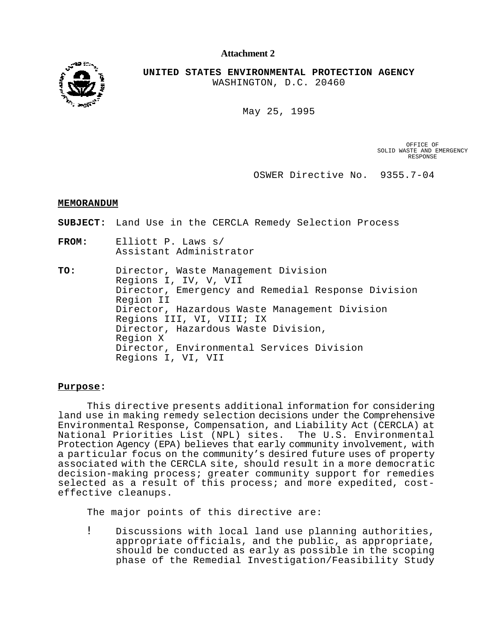**Attachment 2**



**UNITED STATES ENVIRONMENTAL PROTECTION AGENCY** WASHINGTON, D.C. 20460

May 25, 1995

OFFICE OF SOLID WASTE AND EMERGENCY RESPONSE

OSWER Directive No. 9355.7-04

#### **MEMORANDUM**

**SUBJECT:** Land Use in the CERCLA Remedy Selection Process

**FROM:** Elliott P. Laws s/ Assistant Administrator

**TO:** Director, Waste Management Division Regions I, IV, V, VII Director, Emergency and Remedial Response Division Region II Director, Hazardous Waste Management Division Regions III, VI, VIII; IX Director, Hazardous Waste Division, Region X Director, Environmental Services Division Regions I, VI, VII

#### **Purpose:**

This directive presents additional information for considering land use in making remedy selection decisions under the Comprehensive Environmental Response, Compensation, and Liability Act (CERCLA) at National Priorities List (NPL) sites. The U.S. Environmental Protection Agency (EPA) believes that early community involvement, with a particular focus on the community's desired future uses of property associated with the CERCLA site, should result in a more democratic decision-making process; greater community support for remedies selected as a result of this process; and more expedited, costeffective cleanups.

The major points of this directive are:

! Discussions with local land use planning authorities, appropriate officials, and the public, as appropriate, should be conducted as early as possible in the scoping phase of the Remedial Investigation/Feasibility Study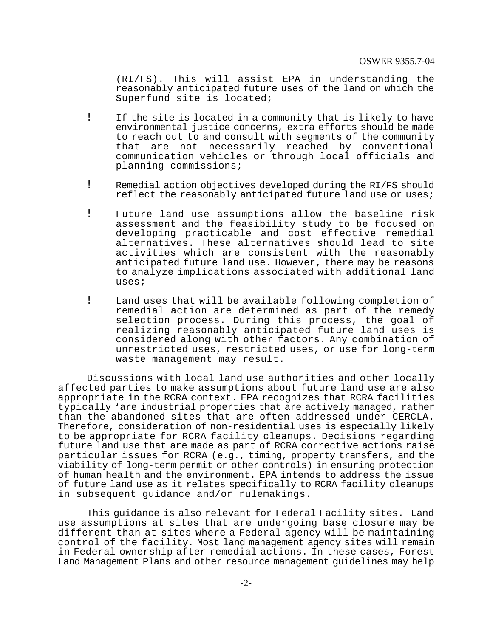(RI/FS). This will assist EPA in understanding the reasonably anticipated future uses of the land on which the Superfund site is located;

- ! If the site is located in a community that is likely to have environmental justice concerns, extra efforts should be made to reach out to and consult with segments of the community that are not necessarily reached by conventional communication vehicles or through local officials and planning commissions;
- ! Remedial action objectives developed during the RI/FS should reflect the reasonably anticipated future land use or uses;
- ! Future land use assumptions allow the baseline risk assessment and the feasibility study to be focused on developing practicable and cost effective remedial alternatives. These alternatives should lead to site activities which are consistent with the reasonably anticipated future land use. However, there may be reasons to analyze implications associated with additional land uses;
- ! Land uses that will be available following completion of remedial action are determined as part of the remedy selection process. During this process, the goal of realizing reasonably anticipated future land uses is considered along with other factors. Any combination of unrestricted uses, restricted uses, or use for long-term waste management may result.

Discussions with local land use authorities and other locally affected parties to make assumptions about future land use are also appropriate in the RCRA context. EPA recognizes that RCRA facilities typically 'are industrial properties that are actively managed, rather than the abandoned sites that are often addressed under CERCLA. Therefore, consideration of non-residential uses is especially likely to be appropriate for RCRA facility cleanups. Decisions regarding future land use that are made as part of RCRA corrective actions raise particular issues for RCRA (e.g., timing, property transfers, and the viability of long-term permit or other controls) in ensuring protection of human health and the environment. EPA intends to address the issue of future land use as it relates specifically to RCRA facility cleanups in subsequent guidance and/or rulemakings.

This guidance is also relevant for Federal Facility sites. Land use assumptions at sites that are undergoing base closure may be different than at sites where a Federal agency will be maintaining control of the facility. Most land management agency sites will remain in Federal ownership after remedial actions. In these cases, Forest Land Management Plans and other resource management guidelines may help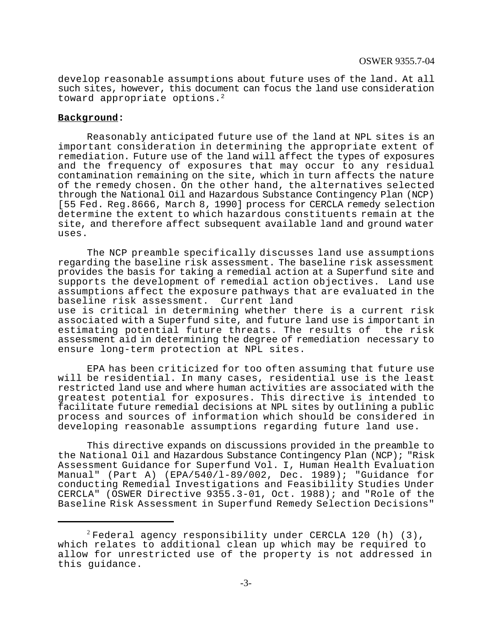develop reasonable assumptions about future uses of the land. At all such sites, however, this document can focus the land use consideration toward appropriate options.<sup>2</sup>

### **Background:**

Reasonably anticipated future use of the land at NPL sites is an important consideration in determining the appropriate extent of remediation. Future use of the land will affect the types of exposures and the frequency of exposures that may occur to any residual contamination remaining on the site, which in turn affects the nature of the remedy chosen. On the other hand, the alternatives selected through the National Oil and Hazardous Substance Contingency Plan (NCP) [55 Fed. Reg.8666, March 8, 1990] process for CERCLA remedy selection determine the extent to which hazardous constituents remain at the site, and therefore affect subsequent available land and ground water uses.

The NCP preamble specifically discusses land use assumptions regarding the baseline risk assessment. The baseline risk assessment provides the basis for taking a remedial action at a Superfund site and supports the development of remedial action objectives. Land use assumptions affect the exposure pathways that are evaluated in the baseline risk assessment. Current land

use is critical in determining whether there is a current risk associated with a Superfund site, and future land use is important in estimating potential future threats. The results of the risk assessment aid in determining the degree of remediation necessary to ensure long-term protection at NPL sites.

EPA has been criticized for too often assuming that future use will be residential. In many cases, residential use is the least restricted land use and where human activities are associated with the greatest potential for exposures. This directive is intended to facilitate future remedial decisions at NPL sites by outlining a public process and sources of information which should be considered in developing reasonable assumptions regarding future land use.

This directive expands on discussions provided in the preamble to the National Oil and Hazardous Substance Contingency Plan (NCP); "Risk Assessment Guidance for Superfund Vol. I, Human Health Evaluation Manual" (Part A) (EPA/540/l-89/002, Dec. 1989); "Guidance for conducting Remedial Investigations and Feasibility Studies Under CERCLA" (OSWER Directive 9355.3-01, Oct. 1988); and "Role of the Baseline Risk Assessment in Superfund Remedy Selection Decisions"

 $2$  Federal agency responsibility under CERCLA 120 (h) (3), which relates to additional clean up which may be required to allow for unrestricted use of the property is not addressed in this guidance.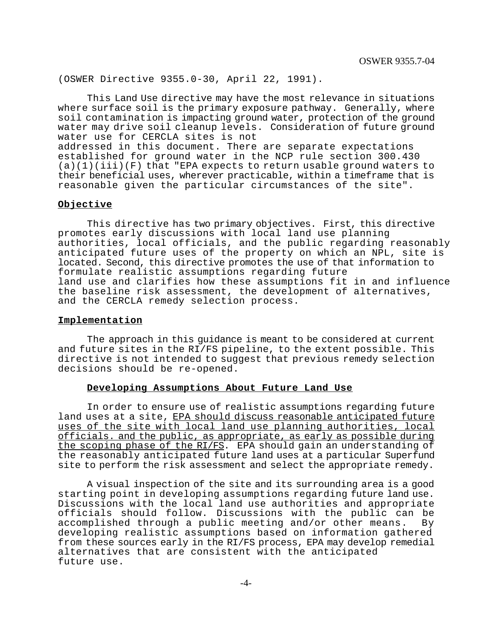(OSWER Directive 9355.0-30, April 22, 1991).

This Land Use directive may have the most relevance in situations where surface soil is the primary exposure pathway. Generally, where soil contamination is impacting ground water, protection of the ground water may drive soil cleanup levels. Consideration of future ground water use for CERCLA sites is not addressed in this document. There are separate expectations established for ground water in the NCP rule section 300.430  $(a)(1)(iii)(F)$  that "EPA expects to return usable ground waters to their beneficial uses, wherever practicable, within a timeframe that is reasonable given the particular circumstances of the site".

### **Objective**

This directive has two primary objectives. First, this directive promotes early discussions with local land use planning authorities, local officials, and the public regarding reasonably anticipated future uses of the property on which an NPL, site is located. Second, this directive promotes the use of that information to formulate realistic assumptions regarding future land use and clarifies how these assumptions fit in and influence the baseline risk assessment, the development of alternatives, and the CERCLA remedy selection process.

#### **Implementation**

The approach in this guidance is meant to be considered at current and future sites in the RI/FS pipeline, to the extent possible. This directive is not intended to suggest that previous remedy selection decisions should be re-opened.

#### **Developing Assumptions About Future Land Use**

In order to ensure use of realistic assumptions regarding future land uses at a site, EPA should discuss reasonable anticipated future uses of the site with local land use planning authorities, local officials. and the public, as appropriate, as early as possible during the scoping phase of the RI/FS. EPA should gain an understanding of the reasonably anticipated future land uses at a particular Superfund site to perform the risk assessment and select the appropriate remedy.

A visual inspection of the site and its surrounding area is a good starting point in developing assumptions regarding future land use. Discussions with the local land use authorities and appropriate officials should follow. Discussions with the public can be accomplished through a public meeting and/or other means. By developing realistic assumptions based on information gathered from these sources early in the RI/FS process, EPA may develop remedial alternatives that are consistent with the anticipated future use.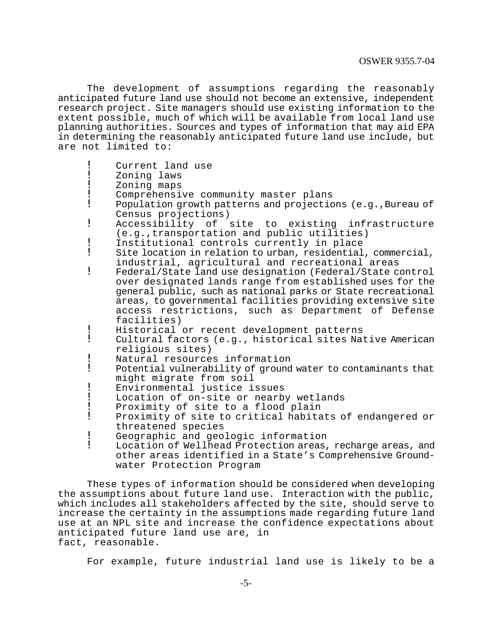The development of assumptions regarding the reasonably anticipated future land use should not become an extensive, independent research project. Site managers should use existing information to the extent possible, much of which will be available from local land use planning authorities. Sources and types of information that may aid EPA in determining the reasonably anticipated future land use include, but are not limited to:

- Current land use
- Zoning laws
- Zoning maps
- ! Comprehensive community master plans<br>! Population growth patterns and projectio
- Population growth patterns and projections (e.g., Bureau of Census projections)
- ! Accessibility of site to existing infrastructure (e.g.,transportation and public utilities)
- ! Institutional controls currently in place<br>! Site location in relation to urban, residential
- Site location in relation to urban, residential, commercial, industrial, agricultural and recreational areas
- ! Federal/State land use designation (Federal/State control over designated lands range from established uses for the general public, such as national parks or State recreational areas, to governmental facilities providing extensive site access restrictions, such as Department of Defense facilities)
- ! Historical or recent development patterns
- Cultural factors (e.g., historical sites Native American religious sites)
- ! Natural resources information<br>! Potential vulnerability of ground
- Potential vulnerability of ground water to contaminants that might migrate from soil
- ! Environmental justice issues<br>! Iocation of on-site or nearb
- Location of on-site or nearby wetlands
- Proximity of site to a flood plain<br>Proximity of site to critical habita
- Proximity of site to critical habitats of endangered or threatened species
- ! Geographic and geologic information<br>! Iocation of Wellhead Protection areas.
- Location of Wellhead Protection areas, recharge areas, and other areas identified in a State's Comprehensive Groundwater Protection Program

These types of information should be considered when developing the assumptions about future land use. Interaction with the public, which includes all stakeholders affected by the site, should serve to increase the certainty in the assumptions made regarding future land use at an NPL site and increase the confidence expectations about anticipated future land use are, in fact, reasonable.

For example, future industrial land use is likely to be a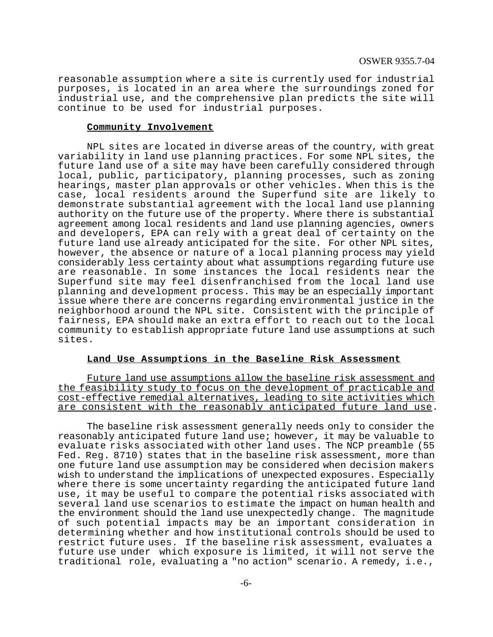reasonable assumption where a site is currently used for industrial purposes, is located in an area where the surroundings zoned for industrial use, and the comprehensive plan predicts the site will continue to be used for industrial purposes.

#### **Community Involvement**

NPL sites are located in diverse areas of the country, with great variability in land use planning practices. For some NPL sites, the future land use of a site may have been carefully considered through local, public, participatory, planning processes, such as zoning hearings, master plan approvals or other vehicles. When this is the case, local residents around the Superfund site are likely to demonstrate substantial agreement with the local land use planning authority on the future use of the property. Where there is substantial agreement among local residents and land use planning agencies, owners and developers, EPA can rely with a great deal of certainty on the future land use already anticipated for the site. For other NPL sites, however, the absence or nature of a local planning process may yield considerably less certainty about what assumptions regarding future use are reasonable. In some instances the local residents near the Superfund site may feel disenfranchised from the local land use planning and development process. This may be an especially important issue where there are concerns regarding environmental justice in the neighborhood around the NPL site. Consistent with the principle of fairness, EPA should make an extra effort to reach out to the local community to establish appropriate future land use assumptions at such sites.

#### **Land Use Assumptions in the Baseline Risk Assessment**

Future land use assumptions allow the baseline risk assessment and the feasibility study to focus on the development of practicable and cost-effective remedial alternatives, leading to site activities which are consistent with the reasonably anticipated future land use.

The baseline risk assessment generally needs only to consider the reasonably anticipated future land use; however, it may be valuable to evaluate risks associated with other land uses. The NCP preamble (55 Fed. Reg. 8710) states that in the baseline risk assessment, more than one future land use assumption may be considered when decision makers wish to understand the implications of unexpected exposures. Especially where there is some uncertainty regarding the anticipated future land use, it may be useful to compare the potential risks associated with several land use scenarios to estimate the impact on human health and the environment should the land use unexpectedly change. The magnitude of such potential impacts may be an important consideration in determining whether and how institutional controls should be used to restrict future uses. If the baseline risk assessment, evaluates a future use under which exposure is limited, it will not serve the traditional role, evaluating a "no action" scenario. A remedy, i.e.,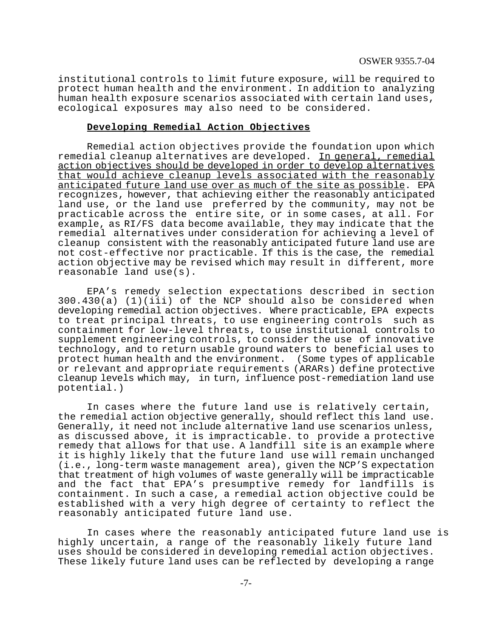institutional controls to limit future exposure, will be required to protect human health and the environment. In addition to analyzing human health exposure scenarios associated with certain land uses, ecological exposures may also need to be considered.

#### **Developing Remedial Action Objectives**

Remedial action objectives provide the foundation upon which remedial cleanup alternatives are developed. In general, remedial action objectives should be developed in order to develop alternatives that would achieve cleanup levels associated with the reasonably anticipated future land use over as much of the site as possible. EPA recognizes, however, that achieving either the reasonably anticipated land use, or the land use preferred by the community, may not be practicable across the entire site, or in some cases, at all. For example, as RI/FS data become available, they may indicate that the remedial alternatives under consideration for achieving a level of cleanup consistent with the reasonably anticipated future land use are not cost-effective nor practicable. If this is the case, the remedial action objective may be revised which may result in different, more reasonable land use(s).

EPA's remedy selection expectations described in section 300.430(a) (1)(iii) of the NCP should also be considered when developing remedial action objectives. Where practicable, EPA expects to treat principal threats, to use engineering controls such as containment for low-level threats, to use institutional controls to supplement engineering controls, to consider the use of innovative technology, and to return usable ground waters to beneficial uses to protect human health and the environment. (Some types of applicable or relevant and appropriate requirements (ARARs) define protective cleanup levels which may, in turn, influence post-remediation land use potential.)

In cases where the future land use is relatively certain, the remedial action objective generally, should reflect this land use. Generally, it need not include alternative land use scenarios unless, as discussed above, it is impracticable. to provide a protective remedy that allows for that use. A landfill site is an example where it is highly likely that the future land use will remain unchanged (i.e., long-term waste management area), given the NCP'S expectation that treatment of high volumes of waste generally will be impracticable and the fact that EPA's presumptive remedy for landfills is containment. In such a case, a remedial action objective could be established with a very high degree of certainty to reflect the reasonably anticipated future land use.

In cases where the reasonably anticipated future land use is highly uncertain, a range of the reasonably likely future land uses should be considered in developing remedial action objectives. These likely future land uses can be reflected by developing a range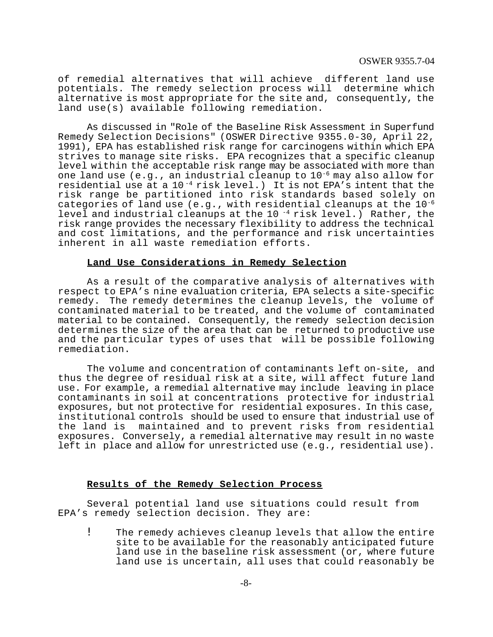of remedial alternatives that will achieve different land use potentials. The remedy selection process will determine which alternative is most appropriate for the site and, consequently, the land use(s) available following remediation.

As discussed in "Role of the Baseline Risk Assessment in Superfund Remedy Selection Decisions" (OSWER Directive 9355.0-30, April 22, 1991), EPA has established risk range for carcinogens within which EPA strives to manage site risks. EPA recognizes that a specific cleanup level within the acceptable risk range may be associated with more than one land use (e.g., an industrial cleanup to  $10^{-6}$  may also allow for residential use at a  $10^{-4}$  risk level.) It is not EPA's intent that the risk range be partitioned into risk standards based solely on categories of land use (e.g., with residential cleanups at the  $10^{-6}$ level and industrial cleanups at the 10<sup> $-4$ </sup> risk level.) Rather, the risk range provides the necessary flexibility to address the technical and cost limitations, and the performance and risk uncertainties inherent in all waste remediation efforts.

### **Land Use Considerations in Remedy Selection**

As a result of the comparative analysis of alternatives with respect to EPA's nine evaluation criteria, EPA selects a site-specific remedy. The remedy determines the cleanup levels, the volume of contaminated material to be treated, and the volume of contaminated material to be contained. Consequently, the remedy selection decision determines the size of the area that can be returned to productive use and the particular types of uses that will be possible following remediation.

The volume and concentration of contaminants left on-site, and thus the degree of residual risk at a site, will affect future land use. For example, a remedial alternative may include leaving in place contaminants in soil at concentrations protective for industrial exposures, but not protective for residential exposures. In this case, institutional controls should be used to ensure that industrial use of the land is maintained and to prevent risks from residential exposures. Conversely, a remedial alternative may result in no waste left in place and allow for unrestricted use (e.g., residential use).

### **Results of the Remedy Selection Process**

Several potential land use situations could result from EPA's remedy selection decision. They are:

! The remedy achieves cleanup levels that allow the entire site to be available for the reasonably anticipated future land use in the baseline risk assessment (or, where future land use is uncertain, all uses that could reasonably be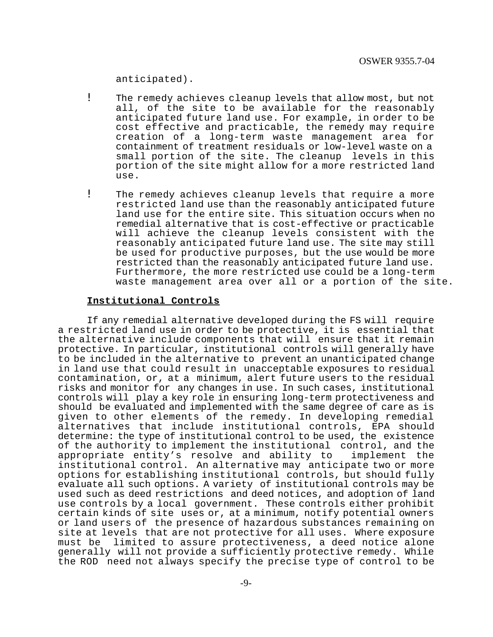anticipated).

- ! The remedy achieves cleanup levels that allow most, but not all, of the site to be available for the reasonably anticipated future land use. For example, in order to be cost effective and practicable, the remedy may require creation of a long-term waste management area for containment of treatment residuals or low-level waste on a small portion of the site. The cleanup levels in this portion of the site might allow for a more restricted land use.
- ! The remedy achieves cleanup levels that require a more restricted land use than the reasonably anticipated future land use for the entire site. This situation occurs when no remedial alternative that is cost-effective or practicable will achieve the cleanup levels consistent with the reasonably anticipated future land use. The site may still be used for productive purposes, but the use would be more restricted than the reasonably anticipated future land use. Furthermore, the more restricted use could be a long-term waste management area over all or a portion of the site.

### **Institutional Controls**

If any remedial alternative developed during the FS will require a restricted land use in order to be protective, it is essential that the alternative include components that will ensure that it remain protective. In particular, institutional controls will generally have to be included in the alternative to prevent an unanticipated change in land use that could result in unacceptable exposures to residual contamination, or, at a minimum, alert future users to the residual risks and monitor for any changes in use. In such cases, institutional controls will play a key role in ensuring long-term protectiveness and should be evaluated and implemented with the same degree of care as is given to other elements of the remedy. In developing remedial alternatives that include institutional controls, EPA should determine: the type of institutional control to be used, the existence of the authority to implement the institutional control, and the appropriate entity's resolve and ability to implement the institutional control. An alternative may anticipate two or more options for establishing institutional controls, but should fully evaluate all such options. A variety of institutional controls may be used such as deed restrictions and deed notices, and adoption of land use controls by a local government. These controls either prohibit certain kinds of site uses or, at a minimum, notify potential owners or land users of the presence of hazardous substances remaining on site at levels that are not protective for all uses. Where exposure must be limited to assure protectiveness, a deed notice alone generally will not provide a sufficiently protective remedy. While the ROD need not always specify the precise type of control to be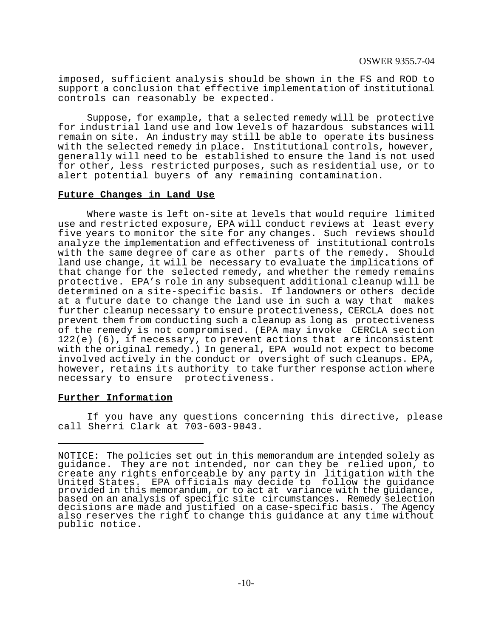imposed, sufficient analysis should be shown in the FS and ROD to support a conclusion that effective implementation of institutional controls can reasonably be expected.

Suppose, for example, that a selected remedy will be protective for industrial land use and low levels of hazardous substances will remain on site. An industry may still be able to operate its business with the selected remedy in place. Institutional controls, however, generally will need to be established to ensure the land is not used for other, less restricted purposes, such as residential use, or to alert potential buyers of any remaining contamination.

### **Future Changes in Land Use**

Where waste is left on-site at levels that would require limited use and restricted exposure, EPA will conduct reviews at least every five years to monitor the site for any changes. Such reviews should analyze the implementation and effectiveness of institutional controls with the same degree of care as other parts of the remedy. Should land use change, it will be necessary to evaluate the implications of that change for the selected remedy, and whether the remedy remains protective. EPA's role in any subsequent additional cleanup will be determined on a site-specific basis. If landowners or others decide at a future date to change the land use in such a way that makes further cleanup necessary to ensure protectiveness, CERCLA does not prevent them from conducting such a cleanup as long as protectiveness of the remedy is not compromised. (EPA may invoke CERCLA section 122(e) (6), if necessary, to prevent actions that are inconsistent with the original remedy.) In general, EPA would not expect to become involved actively in the conduct or oversight of such cleanups. EPA, however, retains its authority to take further response action where necessary to ensure protectiveness.

#### **Further Information**

If you have any questions concerning this directive, please call Sherri Clark at 703-603-9043.

NOTICE: The policies set out in this memorandum are intended solely as guidance. They are not intended, nor can they be relied upon, to create any rights enforceable by any party in litigation with the United States. EPA officials may decide to follow the guidance provided in this memorandum, or to act at variance with the guidance, based on an analysis of specific site circumstances. Remedy selection decisions are made and justified on a case-specific basis. The Agency also reserves the right to change this guidance at any time without public notice.